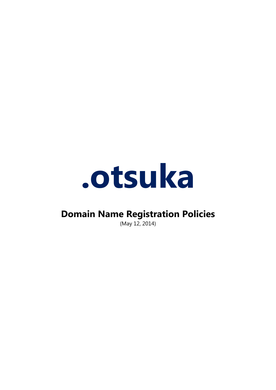

# **Domain Name Registration Policies**

(May 12, 2014)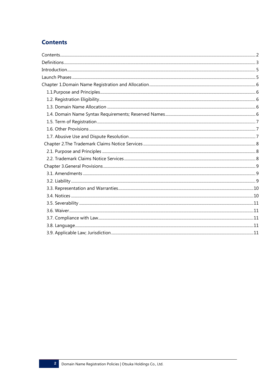# **Contents**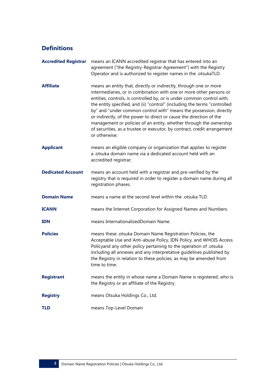# **Definitions**

| <b>Accredited Registrar</b> | means an ICANN accredited registrar that has entered into an<br>agreement ("the Registry-Registrar Agreement") with the Registry<br>Operator and is authorized to register names in the .otsukaTLD.                                                                                                                                                                                                                                                                                                                                                                                                             |
|-----------------------------|-----------------------------------------------------------------------------------------------------------------------------------------------------------------------------------------------------------------------------------------------------------------------------------------------------------------------------------------------------------------------------------------------------------------------------------------------------------------------------------------------------------------------------------------------------------------------------------------------------------------|
| <b>Affiliate</b>            | means an entity that, directly or indirectly, through one or more<br>intermediaries, or in combination with one or more other persons or<br>entities, controls, is controlled by, or is under common control with,<br>the entity specified, and (ii) "control" (including the terms "controlled<br>by" and "under common control with" means the possession, directly<br>or indirectly, of the power to direct or cause the direction of the<br>management or policies of an entity, whether through the ownership<br>of securities, as a trustee or executor, by contract, credit arrangement<br>or otherwise; |
| <b>Applicant</b>            | means an eligible company or organization that applies to register<br>a .otsuka domain name via a dedicated account held with an<br>accredited registrar;                                                                                                                                                                                                                                                                                                                                                                                                                                                       |
| <b>Dedicated Account</b>    | means an account held with a registrar and pre-verified by the<br>registry that is required in order to register a domain name during all<br>registration phases.                                                                                                                                                                                                                                                                                                                                                                                                                                               |
| <b>Domain Name</b>          | means a name at the second level within the .otsuka TLD.                                                                                                                                                                                                                                                                                                                                                                                                                                                                                                                                                        |
| <b>ICANN</b>                | means the Internet Corporation for Assigned Names and Numbers.                                                                                                                                                                                                                                                                                                                                                                                                                                                                                                                                                  |
| <b>IDN</b>                  | means InternationalizedDomain Name.                                                                                                                                                                                                                                                                                                                                                                                                                                                                                                                                                                             |
| <b>Policies</b>             | means these .otsuka Domain Name Registration Policies, the<br>Acceptable Use and Anti-abuse Policy, IDN Policy, and WHOIS Access<br>Policyand any other policy pertaining to the operation of .otsuka<br>including all annexes and any interpretative guidelines published by<br>the Registry in relation to these policies, as may be amended from<br>time to time.                                                                                                                                                                                                                                            |
| <b>Registrant</b>           | means the entity in whose name a Domain Name is registered, who is<br>the Registry or an affiliate of the Registry.                                                                                                                                                                                                                                                                                                                                                                                                                                                                                             |
| <b>Registry</b>             | means Otsuka Holdings Co., Ltd.                                                                                                                                                                                                                                                                                                                                                                                                                                                                                                                                                                                 |
| <b>TLD</b>                  | means Top-Level Domain                                                                                                                                                                                                                                                                                                                                                                                                                                                                                                                                                                                          |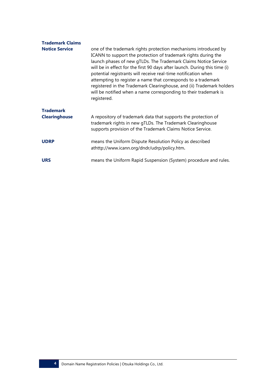| <b>Trademark Claims</b><br><b>Notice Service</b> | one of the trademark rights protection mechanisms introduced by<br>ICANN to support the protection of trademark rights during the<br>launch phases of new gTLDs. The Trademark Claims Notice Service<br>will be in effect for the first 90 days after launch. During this time (i)<br>potential registrants will receive real-time notification when<br>attempting to register a name that corresponds to a trademark<br>registered in the Trademark Clearinghouse, and (ii) Trademark holders<br>will be notified when a name corresponding to their trademark is<br>registered. |
|--------------------------------------------------|-----------------------------------------------------------------------------------------------------------------------------------------------------------------------------------------------------------------------------------------------------------------------------------------------------------------------------------------------------------------------------------------------------------------------------------------------------------------------------------------------------------------------------------------------------------------------------------|
| <b>Trademark</b><br><b>Clearinghouse</b>         | A repository of trademark data that supports the protection of<br>trademark rights in new gTLDs. The Trademark Clearinghouse<br>supports provision of the Trademark Claims Notice Service.                                                                                                                                                                                                                                                                                                                                                                                        |
| <b>UDRP</b>                                      | means the Uniform Dispute Resolution Policy as described<br>athttp://www.icann.org/dndr/udrp/policy.htm.                                                                                                                                                                                                                                                                                                                                                                                                                                                                          |
| <b>URS</b>                                       | means the Uniform Rapid Suspension (System) procedure and rules.                                                                                                                                                                                                                                                                                                                                                                                                                                                                                                                  |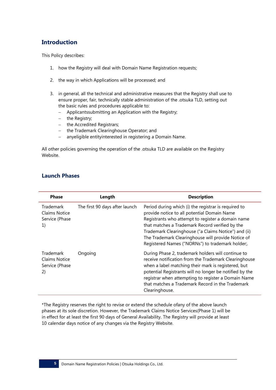# **Introduction**

This Policy describes:

- 1. how the Registry will deal with Domain Name Registration requests;
- 2. the way in which Applications will be processed; and
- 3. in general, all the technical and administrative measures that the Registry shall use to ensure proper, fair, technically stable administration of the .otsuka TLD, setting out the basic rules and procedures applicable to:
	- Applicantssubmitting an Application with the Registry;
	- $-$  the Registry;
	- the Accredited Registrars;
	- the Trademark Clearinghouse Operator; and
	- anyeligible entityinterested in registering a Domain Name.

All other policies governing the operation of the .otsuka TLD are available on the Registry Website.

| <b>Phase</b>                                              | Length                         | <b>Description</b>                                                                                                                                                                                                                                                                                                                                                            |
|-----------------------------------------------------------|--------------------------------|-------------------------------------------------------------------------------------------------------------------------------------------------------------------------------------------------------------------------------------------------------------------------------------------------------------------------------------------------------------------------------|
| Trademark<br><b>Claims Notice</b><br>Service (Phase<br>1) | The first 90 days after launch | Period during which (i) the registrar is required to<br>provide notice to all potential Domain Name<br>Registrants who attempt to register a domain name<br>that matches a Trademark Record verified by the<br>Trademark Clearinghouse ("a Claims Notice") and (ii)<br>The Trademark Clearinghouse will provide Notice of<br>Registered Names ("NORNs") to trademark holder;. |
| Trademark<br>Claims Notice<br>Service (Phase<br>2)        | Ongoing                        | During Phase 2, trademark holders will continue to<br>receive notification from the Trademark Clearinghouse<br>when a label matching their mark is registered, but<br>potential Registrants will no longer be notified by the<br>registrar when attempting to register a Domain Name<br>that matches a Trademark Record in the Trademark<br>Clearinghouse.                    |

### **Launch Phases**

\*The Registry reserves the right to revise or extend the schedule ofany of the above launch phases at its sole discretion. However, the Trademark Claims Notice Services(Phase 1) will be in effect for at least the first 90 days of General Availability. The Registry will provide at least 10 calendar days notice of any changes via the Registry Website.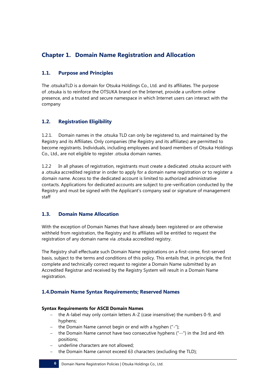# **Chapter 1. Domain Name Registration and Allocation**

# **1.1. Purpose and Principles**

The .otsukaTLD is a domain for Otsuka Holdings Co., Ltd. and its affiliates. The purpose of .otsuka is to reinforce the OTSUKA brand on the Internet, provide a uniform online presence, and a trusted and secure namespace in which Internet users can interact with the company

# **1.2. Registration Eligibility**

1.2.1. Domain names in the .otsuka TLD can only be registered to, and maintained by the Registry and its Affiliates. Only companies (the Registry and its affiliates) are permitted to become registrants. Individuals, including employees and board members of Otsuka Holdings Co., Ltd., are not eligible to register .otsuka domain names.

1.2.2 In all phases of registration, registrants must create a dedicated .otsuka account with a .otsuka accredited registrar in order to apply for a domain name registration or to register a domain name. Access to the dedicated account is limited to authorized administrative contacts. Applications for dedicated accounts are subject to pre-verification conducted by the Registry and must be signed with the Applicant's company seal or signature of management staff

# **1.3. Domain Name Allocation**

With the exception of Domain Names that have already been registered or are otherwise withheld from registration, the Registry and its affiliates will be entitled to request the registration of any domain name via .otsuka accredited registry.

The Registry shall effectuate such Domain Name registrations on a first-come, first-served basis, subject to the terms and conditions of this policy. This entails that, in principle, the first complete and technically correct request to register a Domain Name submitted by an Accredited Registrar and received by the Registry System will result in a Domain Name registration.

# **1.4.Domain Name Syntax Requirements; Reserved Names**

#### **Syntax Requirements for ASCII Domain Names**

- the A-label may only contain letters A-Z (case insensitive) the numbers 0-9, and hyphens;
- the Domain Name cannot begin or end with a hyphen  $($ "-");
- the Domain Name cannot have two consecutive hyphens ("--") in the 3rd and 4th positions;
- underline characters are not allowed;
- the Domain Name cannot exceed 63 characters (excluding the TLD);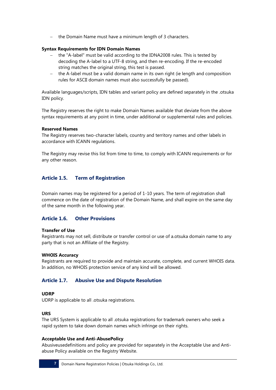the Domain Name must have a minimum length of 3 characters.

#### **Syntax Requirements for IDN Domain Names**

- the "A-label" must be valid according to the IDNA2008 rules. This is tested by decoding the A-label to a UTF-8 string, and then re-encoding. If the re-encoded string matches the original string, this test is passed.
- the A-label must be a valid domain name in its own right (ie length and composition rules for ASCII domain names must also successfully be passed).

Available languages/scripts, IDN tables and variant policy are defined separately in the .otsuka IDN policy.

The Registry reserves the right to make Domain Names available that deviate from the above syntax requirements at any point in time, under additional or supplemental rules and policies.

#### **Reserved Names**

The Registry reserves two-character labels, country and territory names and other labels in accordance with ICANN regulations.

The Registry may revise this list from time to time, to comply with ICANN requirements or for any other reason.

# **Article 1.5. Term of Registration**

Domain names may be registered for a period of 1-10 years. The term of registration shall commence on the date of registration of the Domain Name, and shall expire on the same day of the same month in the following year.

#### **Article 1.6. Other Provisions**

#### **Transfer of Use**

Registrants may not sell, distribute or transfer control or use of a.otsuka domain name to any party that is not an Affiliate of the Registry.

#### **WHOIS Accuracy**

Registrants are required to provide and maintain accurate, complete, and current WHOIS data. In addition, no WHOIS protection service of any kind will be allowed.

#### **Article 1.7. Abusive Use and Dispute Resolution**

#### **UDRP**

UDRP is applicable to all .otsuka registrations.

#### **URS**

The URS System is applicable to all .otsuka registrations for trademark owners who seek a rapid system to take down domain names which infringe on their rights.

#### **Acceptable Use and Anti-AbusePolicy**

Abusiveusedefinitions and policy are provided for separately in the Acceptable Use and Antiabuse Policy available on the Registry Website.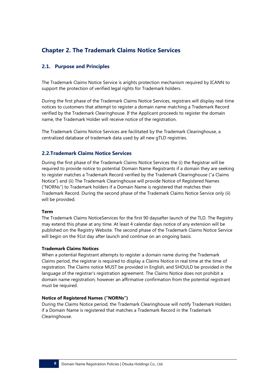# **Chapter 2. The Trademark Claims Notice Services**

# **2.1. Purpose and Principles**

The Trademark Claims Notice Service is arights protection mechanism required by ICANN to support the protection of verified legal rights for Trademark holders.

During the first phase of the Trademark Claims Notice Services, registrars will display real-time notices to customers that attempt to register a domain name matching a Trademark Record verified by the Trademark Clearinghouse. If the Applicant proceeds to register the domain name, the Trademark Holder will receive notice of the registration.

The Trademark Claims Notice Services are facilitated by the Trademark Clearinghouse, a centralized database of trademark data used by all new gTLD registries.

#### **2.2.Trademark Claims Notice Services**

During the first phase of the Trademark Claims Notice Services the (i) the Registrar will be required to provide notice to potential Domain Name Registrants if a domain they are seeking to register matches a Trademark Record verified by the Trademark Clearinghouse ("a Claims Notice") and (ii) The Trademark Clearinghouse will provide Notice of Registered Names ("NORNs") to Trademark holders if a Domain Name is registered that matches their Trademark Record. During the second phase of the Trademark Claims Notice Service only (ii) will be provided.

#### **Term**

The Trademark Claims NoticeServices for the first 90 daysafter launch of the TLD. The Registry may extend this phase at any time. At least 4 calendar days notice of any extension will be published on the Registry Website. The second phase of the Trademark Claims Notice Service will begin on the 91st day after launch and continue on an ongoing basis.

#### **Trademark Claims Notices**

When a potential Registrant attempts to register a domain name during the Trademark Claims period, the registrar is required to display a Claims Notice in real time at the time of registration. The Claims notice MUST be provided in English, and SHOULD be provided in the language of the registrar's registration agreement. The Claims Notice does not prohibit a domain name registration; however an affirmative confirmation from the potential registrant must be required.

#### **Notice of Registered Names ("NORNs")**

During the Claims Notice period, the Trademark Clearinghouse will notify Trademark Holders if a Domain Name is registered that matches a Trademark Record in the Trademark Clearinghouse.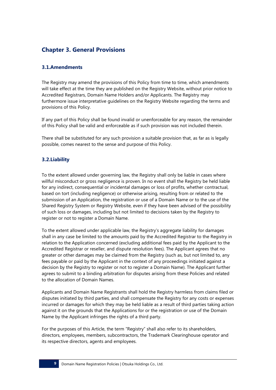# **Chapter 3. General Provisions**

### **3.1.Amendments**

The Registry may amend the provisions of this Policy from time to time, which amendments will take effect at the time they are published on the Registry Website, without prior notice to Accredited Registrars, Domain Name Holders and/or Applicants. The Registry may furthermore issue interpretative guidelines on the Registry Website regarding the terms and provisions of this Policy.

If any part of this Policy shall be found invalid or unenforceable for any reason, the remainder of this Policy shall be valid and enforceable as if such provision was not included therein.

There shall be substituted for any such provision a suitable provision that, as far as is legally possible, comes nearest to the sense and purpose of this Policy.

### **3.2.Liability**

To the extent allowed under governing law, the Registry shall only be liable in cases where willful misconduct or gross negligence is proven. In no event shall the Registry be held liable for any indirect, consequential or incidental damages or loss of profits, whether contractual, based on tort (including negligence) or otherwise arising, resulting from or related to the submission of an Application, the registration or use of a Domain Name or to the use of the Shared Registry System or Registry Website, even if they have been advised of the possibility of such loss or damages, including but not limited to decisions taken by the Registry to register or not to register a Domain Name.

To the extent allowed under applicable law, the Registry's aggregate liability for damages shall in any case be limited to the amounts paid by the Accredited Registrar to the Registry in relation to the Application concerned (excluding additional fees paid by the Applicant to the Accredited Registrar or reseller, and dispute resolution fees). The Applicant agrees that no greater or other damages may be claimed from the Registry (such as, but not limited to, any fees payable or paid by the Applicant in the context of any proceedings initiated against a decision by the Registry to register or not to register a Domain Name). The Applicant further agrees to submit to a binding arbitration for disputes arising from these Policies and related to the allocation of Domain Names.

Applicants and Domain Name Registrants shall hold the Registry harmless from claims filed or disputes initiated by third parties, and shall compensate the Registry for any costs or expenses incurred or damages for which they may be held liable as a result of third parties taking action against it on the grounds that the Applications for or the registration or use of the Domain Name by the Applicant infringes the rights of a third party.

For the purposes of this Article, the term "Registry" shall also refer to its shareholders, directors, employees, members, subcontractors, the Trademark Clearinghouse operator and its respective directors, agents and employees.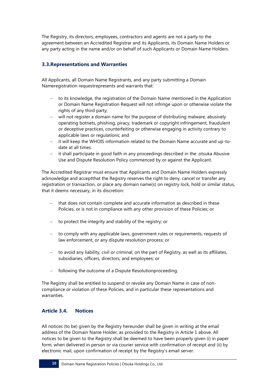The Registry, its directors, employees, contractors and agents are not a party to the agreement between an Accredited Registrar and its Applicants, its Domain Name Holders or any party acting in the name and/or on behalf of such Applicants or Domain Name Holders.

# **3.3.Representations and Warranties**

All Applicants, all Domain Name Registrants, and any party submitting a Domain Nameregistration requestrepresents and warrants that:

- to its knowledge, the registration of the Domain Name mentioned in the Application or Domain Name Registration Request will not infringe upon or otherwise violate the rights of any third party;
- will not register a domain name for the purpose of distributing malware, abusively operating botnets, phishing, piracy, trademark or copyright infringement, fraudulent or deceptive practices, counterfeiting or otherwise engaging in activity contrary to applicable laws or regulations; and
- it will keep the WHOIS information related to the Domain Name accurate and up-todate at all times.
- it shall participate in good faith in any proceedings described in the .otsuka Abusive Use and Dispute Resolution Policy commenced by or against the Applicant.

The Accredited Registrar must ensure that Applicants and Domain Name Holders expressly acknowledge and acceptthat the Registry reserves the right to deny, cancel or transfer any registration or transaction, or place any domain name(s) on registry lock, hold or similar status, that it deems necessary, in its discretion:

- that does not contain complete and accurate information as described in these Policies, or is not in compliance with any other provision of these Policies; or
- $-$  to protect the integrity and stability of the registry; or
- to comply with any applicable laws, government rules or requirements, requests of law enforcement, or any dispute resolution process; or
- $-$  to avoid any liability, civil or criminal, on the part of Registry, as well as its affiliates, subsidiaries, officers, directors, and employees; or
- following the outcome of a Dispute Resolutionproceeding.

The Registry shall be entitled to suspend or revoke any Domain Name in case of noncompliance or violation of these Policies, and in particular these representations and warranties.

#### **Article 3.4. Notices**

All notices (to be) given by the Registry hereunder shall be given in writing at the email address of the Domain Name Holder, as provided to the Registry in Article 1 above. All notices to be given to the Registry shall be deemed to have been properly given (i) in paper form, when delivered in person or via courier service with confirmation of receipt and (ii) by electronic mail, upon confirmation of receipt by the Registry's email server.